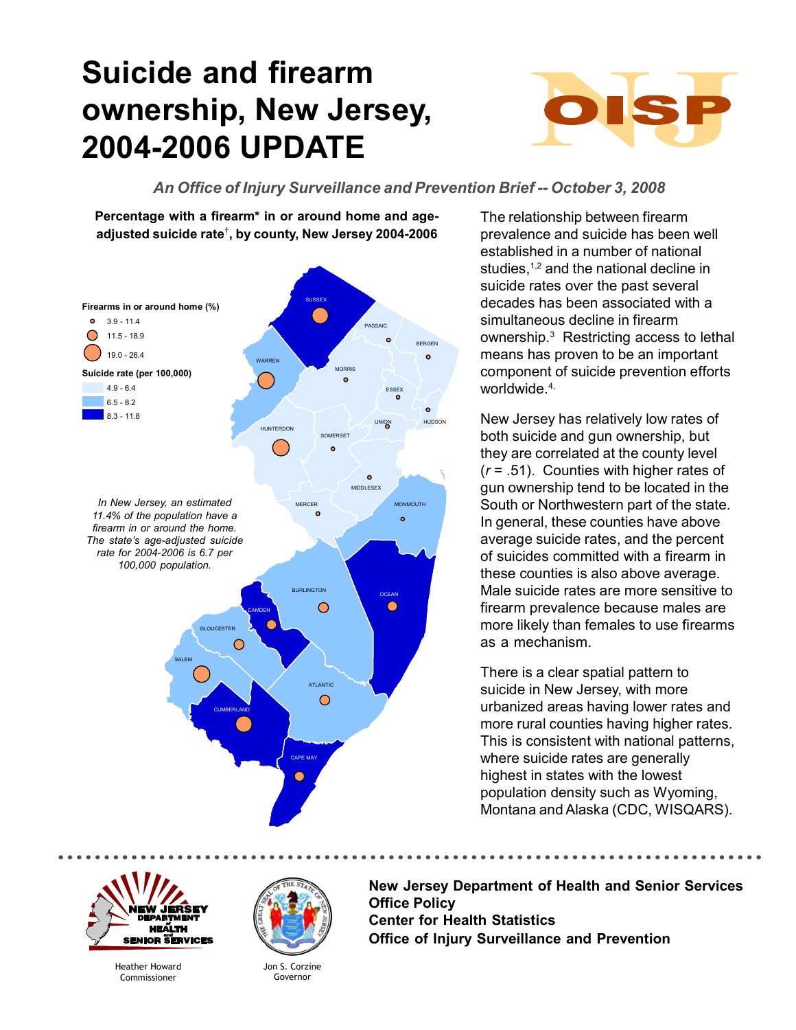## **Suicide and firearm ownership, New Jersey, 2004-2006 UPDATE**



## *An Office of Injury Surveillance and Prevention Brief -- October 3, 2008*

**Percentage with a firearm\* in or around home and ageadjusted suicide rate**† **, by county, New Jersey 2004-2006**



The relationship between firearm prevalence and suicide has been well established in a number of national studies,<sup>1,2</sup> and the national decline in suicide rates over the past several decades has been associated with a simultaneous decline in firearm ownership.<sup>3</sup> Restricting access to lethal means has proven to be an important component of suicide prevention efforts worldwide.4,

New Jersey has relatively low rates of both suicide and gun ownership, but they are correlated at the county level (*r* = .51). Counties with higher rates of gun ownership tend to be located in the South or Northwestern part of the state. In general, these counties have above average suicide rates, and the percent of suicides committed with a firearm in these counties is also above average. Male suicide rates are more sensitive to firearm prevalence because males are more likely than females to use firearms as a mechanism.

There is a clear spatial pattern to suicide in New Jersey, with more urbanized areas having lower rates and more rural counties having higher rates. This is consistent with national patterns, where suicide rates are generally highest in states with the lowest population density such as Wyoming, Montana and Alaska (CDC, WISQARS).

HEẤLTH IOR S **ERVICES** 

> Heather Howard Commissioner



Jon S. Corzine Governor

**New Jersey Department of Health and Senior Services Office Policy Center for Health Statistics Office of Injury Surveillance and Prevention**